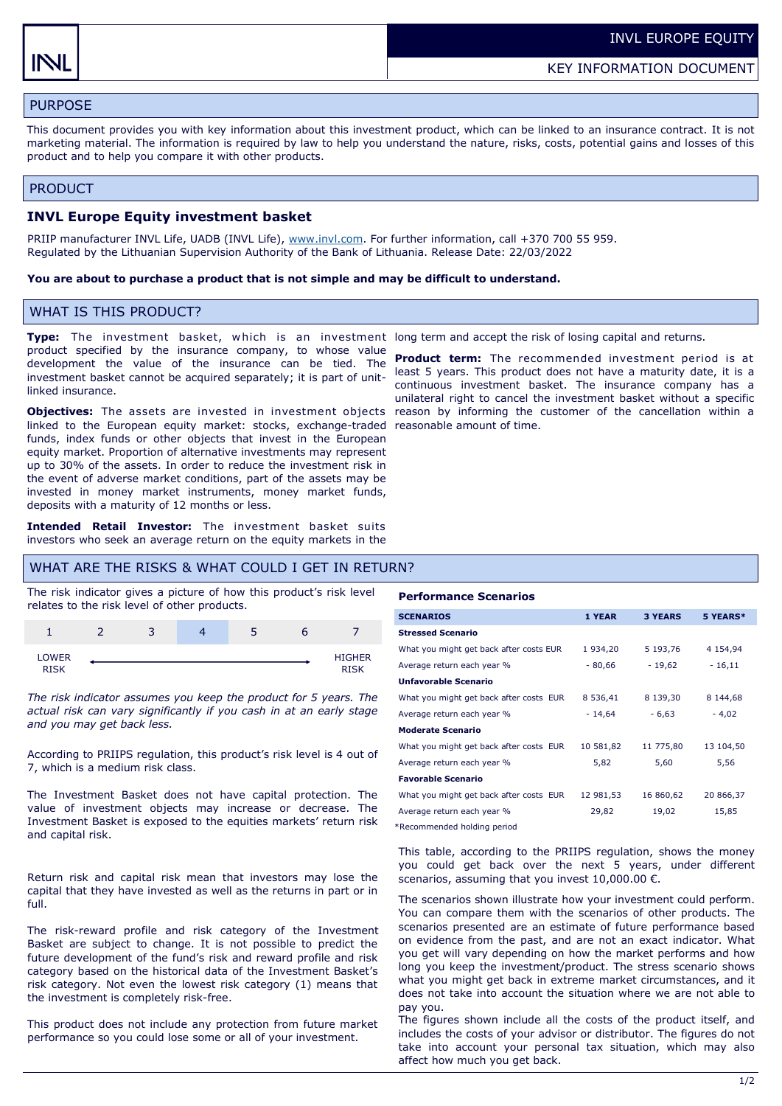# PURPOSE

This document provides you with key information about this investment product, which can be linked to an insurance contract. It is not marketing material. The information is required by law to help you understand the nature, risks, costs, potential gains and losses of this product and to help you compare it with other products.

### PRODUCT

## **INVL Europe Equity investment basket**

PRIIP manufacturer INVL Life, UADB (INVL Life), [www.invl.com.](http://www.invl.com) For further information, call +370 700 55 959. Regulated by the Lithuanian Supervision Authority of the Bank of Lithuania. Release Date: 22/03/2022

### **You are about to purchase a product that is not simple and may be difficult to understand.**

## WHAT IS THIS PRODUCT?

**Type:** The investment basket, which is an investment long term and accept the risk of losing capital and returns. product specified by the insurance company, to whose value development the value of the insurance can be tied. The investment basket cannot be acquired separately; it is part of unitlinked insurance.

**Objectives:** The assets are invested in investment objects linked to the European equity market: stocks, exchange-traded reasonable amount of time. funds, index funds or other objects that invest in the European equity market. Proportion of alternative investments may represent up to 30% of the assets. In order to reduce the investment risk in the event of adverse market conditions, part of the assets may be invested in money market instruments, money market funds, deposits with a maturity of 12 months or less.

**Intended Retail Investor:** The investment basket suits investors who seek an average return on the equity markets in the

## WHAT ARE THE RISKS & WHAT COULD I GET IN RETURN?

The risk indicator gives a picture of how this product's risk level relates to the risk level of other products.

|                             | - |  |                    |
|-----------------------------|---|--|--------------------|
| <b>LOWER</b><br><b>ITCL</b> |   |  | <b>HIGHER</b><br>. |

*The risk indicator assumes you keep the product for 5 years. The actual risk can vary significantly if you cash in at an early stage and you may get back less.* 

According to PRIIPS regulation, this product's risk level is 4 out of 7, which is a medium risk class.

The Investment Basket does not have capital protection. The value of investment objects may increase or decrease. The Investment Basket is exposed to the equities markets' return risk and capital risk.

Return risk and capital risk mean that investors may lose the capital that they have invested as well as the returns in part or in full.

The risk-reward profile and risk category of the Investment Basket are subject to change. It is not possible to predict the future development of the fund's risk and reward profile and risk category based on the historical data of the Investment Basket's risk category. Not even the lowest risk category (1) means that the investment is completely risk-free.

This product does not include any protection from future market performance so you could lose some or all of your investment.

**Product term:** The recommended investment period is at least 5 years. This product does not have a maturity date, it is a continuous investment basket. The insurance company has a unilateral right to cancel the investment basket without a specific reason by informing the customer of the cancellation within a

#### **Performance Scenarios**

| <b>SCENARIOS</b>                        | 1 YEAR    | <b>3 YEARS</b> | 5 YEARS*  |
|-----------------------------------------|-----------|----------------|-----------|
| <b>Stressed Scenario</b>                |           |                |           |
| What you might get back after costs EUR | 1934,20   | 5 193,76       | 4 154,94  |
| Average return each year %              | $-80,66$  | $-19,62$       | $-16,11$  |
| <b>Unfavorable Scenario</b>             |           |                |           |
| What you might get back after costs EUR | 8 536,41  | 8 139,30       | 8 144,68  |
| Average return each year %              | - 14,64   | $-6,63$        | $-4,02$   |
| <b>Moderate Scenario</b>                |           |                |           |
| What you might get back after costs EUR | 10 581,82 | 11 775,80      | 13 104,50 |
| Average return each year %              | 5,82      | 5,60           | 5,56      |
| <b>Favorable Scenario</b>               |           |                |           |
| What you might get back after costs EUR | 12 981,53 | 16 860,62      | 20 866,37 |
| Average return each year %              | 29,82     | 19,02          | 15,85     |
|                                         |           |                |           |

\*Recommended holding period

This table, according to the PRIIPS regulation, shows the money you could get back over the next 5 years, under different scenarios, assuming that you invest  $10,000.00 \in$ .

The scenarios shown illustrate how your investment could perform. You can compare them with the scenarios of other products. The scenarios presented are an estimate of future performance based on evidence from the past, and are not an exact indicator. What you get will vary depending on how the market performs and how long you keep the investment/product. The stress scenario shows what you might get back in extreme market circumstances, and it does not take into account the situation where we are not able to pay you.

The figures shown include all the costs of the product itself, and includes the costs of your advisor or distributor. The figures do not take into account your personal tax situation, which may also affect how much you get back.